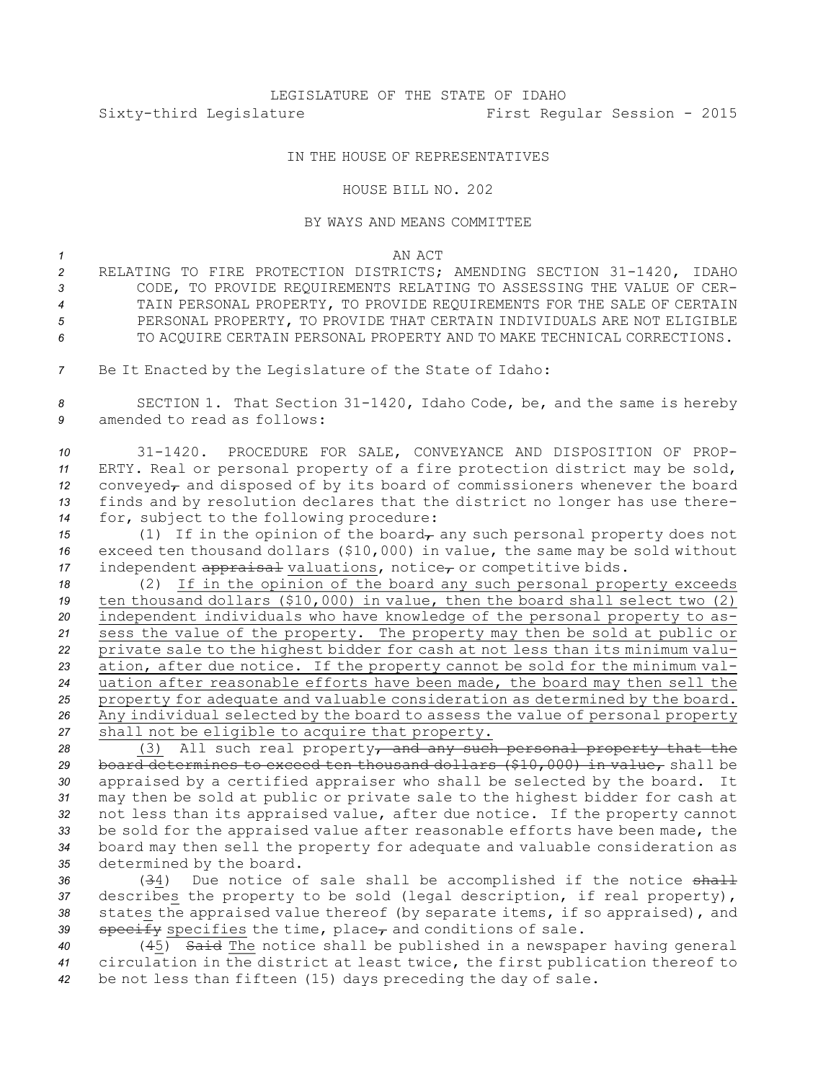## IN THE HOUSE OF REPRESENTATIVES

## HOUSE BILL NO. 202

## BY WAYS AND MEANS COMMITTEE

*1* AN ACT

- *<sup>2</sup>* RELATING TO FIRE PROTECTION DISTRICTS; AMENDING SECTION 31-1420, IDAHO *3* CODE, TO PROVIDE REQUIREMENTS RELATING TO ASSESSING THE VALUE OF CER-*4* TAIN PERSONAL PROPERTY, TO PROVIDE REQUIREMENTS FOR THE SALE OF CERTAIN 5 PERSONAL PROPERTY, TO PROVIDE THAT CERTAIN INDIVIDUALS ARE NOT ELIGIBLE *6* TO ACQUIRE CERTAIN PERSONAL PROPERTY AND TO MAKE TECHNICAL CORRECTIONS.
- *<sup>7</sup>* Be It Enacted by the Legislature of the State of Idaho:

*<sup>8</sup>* SECTION 1. That Section 31-1420, Idaho Code, be, and the same is hereby *9* amended to read as follows:

 31-1420. PROCEDURE FOR SALE, CONVEYANCE AND DISPOSITION OF PROP- ERTY. Real or personal property of <sup>a</sup> fire protection district may be sold, 12 conveyed<sub>r</sub> and disposed of by its board of commissioners whenever the board finds and by resolution declares that the district no longer has use there-for, subject to the following procedure:

*15* (1) If in the opinion of the board<sub> $\tau$ </sub> any such personal property does not *<sup>16</sup>* exceed ten thousand dollars (\$10,000) in value, the same may be sold without 17 independent appraisal valuations, notice, or competitive bids.

 (2) If in the opinion of the board any such personal property exceeds ten thousand dollars (\$10,000) in value, then the board shall select two (2) independent individuals who have knowledge of the personal property to as- sess the value of the property. The property may then be sold at public or private sale to the highest bidder for cash at not less than its minimum valu- ation, after due notice. If the property cannot be sold for the minimum val- uation after reasonable efforts have been made, the board may then sell the property for adequate and valuable consideration as determined by the board. Any individual selected by the board to assess the value of personal property shall not be eligible to acquire that property.

 (3) All such real property, and any such personal property that the board determines to exceed ten thousand dollars (\$10,000) in value, shall be appraised by <sup>a</sup> certified appraiser who shall be selected by the board. It may then be sold at public or private sale to the highest bidder for cash at not less than its appraised value, after due notice. If the property cannot be sold for the appraised value after reasonable efforts have been made, the board may then sell the property for adequate and valuable consideration as determined by the board.

 (34) Due notice of sale shall be accomplished if the notice shall describes the property to be sold (legal description, if real property), states the appraised value thereof (by separate items, if so appraised), and 39 specify specifies the time, place<sub>r</sub> and conditions of sale.

*<sup>40</sup>* (45) Said The notice shall be published in <sup>a</sup> newspaper having general *<sup>41</sup>* circulation in the district at least twice, the first publication thereof to *<sup>42</sup>* be not less than fifteen (15) days preceding the day of sale.